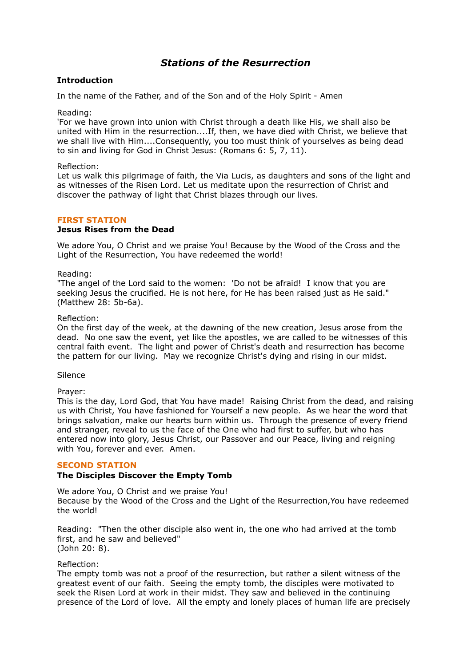# *Stations of the Resurrection*

### **Introduction**

In the name of the Father, and of the Son and of the Holy Spirit - Amen

Reading:

'For we have grown into union with Christ through a death like His, we shall also be united with Him in the resurrection....If, then, we have died with Christ, we believe that we shall live with Him....Consequently, you too must think of yourselves as being dead to sin and living for God in Christ Jesus: (Romans 6: 5, 7, 11).

#### Reflection:

Let us walk this pilgrimage of faith, the Via Lucis, as daughters and sons of the light and as witnesses of the Risen Lord. Let us meditate upon the resurrection of Christ and discover the pathway of light that Christ blazes through our lives.

# **FIRST STATION**

### **Jesus Rises from the Dead**

We adore You, O Christ and we praise You! Because by the Wood of the Cross and the Light of the Resurrection, You have redeemed the world!

#### Reading:

"The angel of the Lord said to the women: 'Do not be afraid! I know that you are seeking Jesus the crucified. He is not here, for He has been raised just as He said." (Matthew 28: 5b-6a).

#### Reflection:

On the first day of the week, at the dawning of the new creation, Jesus arose from the dead. No one saw the event, yet like the apostles, we are called to be witnesses of this central faith event. The light and power of Christ's death and resurrection has become the pattern for our living. May we recognize Christ's dying and rising in our midst.

#### Silence

Prayer:

This is the day, Lord God, that You have made! Raising Christ from the dead, and raising us with Christ, You have fashioned for Yourself a new people. As we hear the word that brings salvation, make our hearts burn within us. Through the presence of every friend and stranger, reveal to us the face of the One who had first to suffer, but who has entered now into glory, Jesus Christ, our Passover and our Peace, living and reigning with You, forever and ever. Amen.

### **SECOND STATION**

### **The Disciples Discover the Empty Tomb**

We adore You, O Christ and we praise You! Because by the Wood of the Cross and the Light of the Resurrection,You have redeemed the world!

Reading: "Then the other disciple also went in, the one who had arrived at the tomb first, and he saw and believed" (John 20: 8).

#### Reflection:

The empty tomb was not a proof of the resurrection, but rather a silent witness of the greatest event of our faith. Seeing the empty tomb, the disciples were motivated to seek the Risen Lord at work in their midst. They saw and believed in the continuing presence of the Lord of love. All the empty and lonely places of human life are precisely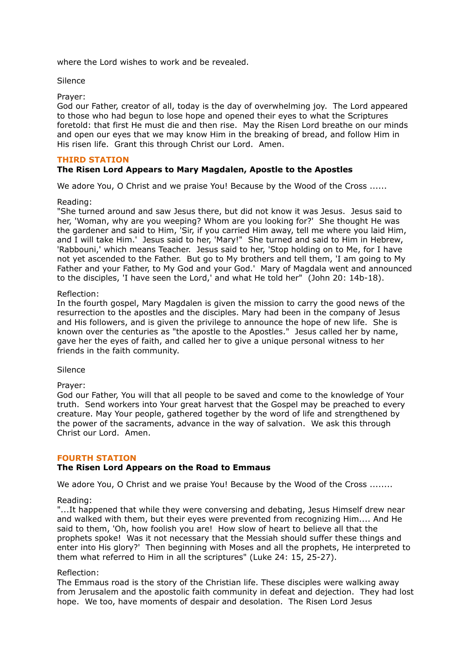where the Lord wishes to work and be revealed.

#### Silence

#### Prayer:

God our Father, creator of all, today is the day of overwhelming joy. The Lord appeared to those who had begun to lose hope and opened their eyes to what the Scriptures foretold: that first He must die and then rise. May the Risen Lord breathe on our minds and open our eyes that we may know Him in the breaking of bread, and follow Him in His risen life. Grant this through Christ our Lord. Amen.

### **THIRD STATION**

# **The Risen Lord Appears to Mary Magdalen, Apostle to the Apostles**

We adore You, O Christ and we praise You! Because by the Wood of the Cross ......

#### Reading:

"She turned around and saw Jesus there, but did not know it was Jesus. Jesus said to her, 'Woman, why are you weeping? Whom are you looking for?' She thought He was the gardener and said to Him, 'Sir, if you carried Him away, tell me where you laid Him, and I will take Him.' Jesus said to her, 'Mary!" She turned and said to Him in Hebrew, 'Rabbouni,' which means Teacher. Jesus said to her, 'Stop holding on to Me, for I have not yet ascended to the Father. But go to My brothers and tell them, 'I am going to My Father and your Father, to My God and your God.' Mary of Magdala went and announced to the disciples, 'I have seen the Lord,' and what He told her" (John 20: 14b-18).

#### Reflection:

In the fourth gospel, Mary Magdalen is given the mission to carry the good news of the resurrection to the apostles and the disciples. Mary had been in the company of Jesus and His followers, and is given the privilege to announce the hope of new life. She is known over the centuries as "the apostle to the Apostles." Jesus called her by name, gave her the eyes of faith, and called her to give a unique personal witness to her friends in the faith community.

#### Silence

#### Prayer:

God our Father, You will that all people to be saved and come to the knowledge of Your truth. Send workers into Your great harvest that the Gospel may be preached to every creature. May Your people, gathered together by the word of life and strengthened by the power of the sacraments, advance in the way of salvation. We ask this through Christ our Lord. Amen.

#### **FOURTH STATION**

### **The Risen Lord Appears on the Road to Emmaus**

We adore You, O Christ and we praise You! Because by the Wood of the Cross .......

#### Reading:

"...It happened that while they were conversing and debating, Jesus Himself drew near and walked with them, but their eyes were prevented from recognizing Him.... And He said to them, 'Oh, how foolish you are! How slow of heart to believe all that the prophets spoke! Was it not necessary that the Messiah should suffer these things and enter into His glory?' Then beginning with Moses and all the prophets, He interpreted to them what referred to Him in all the scriptures" (Luke 24: 15, 25-27).

#### Reflection:

The Emmaus road is the story of the Christian life. These disciples were walking away from Jerusalem and the apostolic faith community in defeat and dejection. They had lost hope. We too, have moments of despair and desolation. The Risen Lord Jesus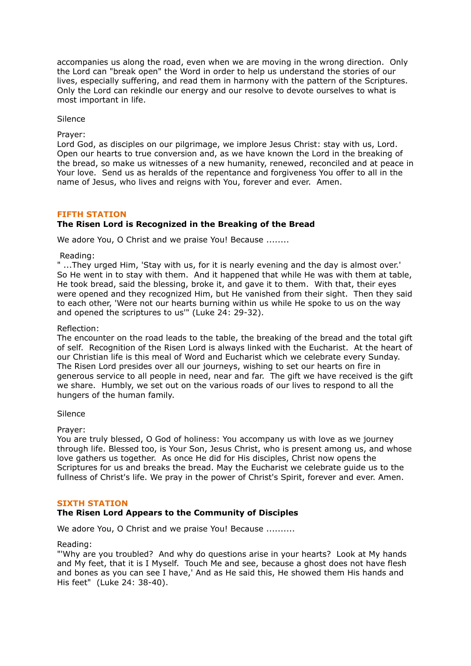accompanies us along the road, even when we are moving in the wrong direction. Only the Lord can "break open" the Word in order to help us understand the stories of our lives, especially suffering, and read them in harmony with the pattern of the Scriptures. Only the Lord can rekindle our energy and our resolve to devote ourselves to what is most important in life.

Silence

Prayer:

Lord God, as disciples on our pilgrimage, we implore Jesus Christ: stay with us, Lord. Open our hearts to true conversion and, as we have known the Lord in the breaking of the bread, so make us witnesses of a new humanity, renewed, reconciled and at peace in Your love. Send us as heralds of the repentance and forgiveness You offer to all in the name of Jesus, who lives and reigns with You, forever and ever. Amen.

#### **FIFTH STATION The Risen Lord is Recognized in the Breaking of the Bread**

We adore You, O Christ and we praise You! Because ........

Reading:

" ...They urged Him, 'Stay with us, for it is nearly evening and the day is almost over.' So He went in to stay with them. And it happened that while He was with them at table, He took bread, said the blessing, broke it, and gave it to them. With that, their eyes were opened and they recognized Him, but He vanished from their sight. Then they said to each other, 'Were not our hearts burning within us while He spoke to us on the way and opened the scriptures to us'" (Luke 24: 29-32).

Reflection:

The encounter on the road leads to the table, the breaking of the bread and the total gift of self. Recognition of the Risen Lord is always linked with the Eucharist. At the heart of our Christian life is this meal of Word and Eucharist which we celebrate every Sunday. The Risen Lord presides over all our journeys, wishing to set our hearts on fire in generous service to all people in need, near and far. The gift we have received is the gift we share. Humbly, we set out on the various roads of our lives to respond to all the hungers of the human family.

Silence

Prayer:

You are truly blessed, O God of holiness: You accompany us with love as we journey through life. Blessed too, is Your Son, Jesus Christ, who is present among us, and whose love gathers us together. As once He did for His disciples, Christ now opens the Scriptures for us and breaks the bread. May the Eucharist we celebrate guide us to the fullness of Christ's life. We pray in the power of Christ's Spirit, forever and ever. Amen.

### **SIXTH STATION**

### **The Risen Lord Appears to the Community of Disciples**

We adore You, O Christ and we praise You! Because .........

Reading:

"'Why are you troubled? And why do questions arise in your hearts? Look at My hands and My feet, that it is I Myself. Touch Me and see, because a ghost does not have flesh and bones as you can see I have,' And as He said this, He showed them His hands and His feet" (Luke 24: 38-40).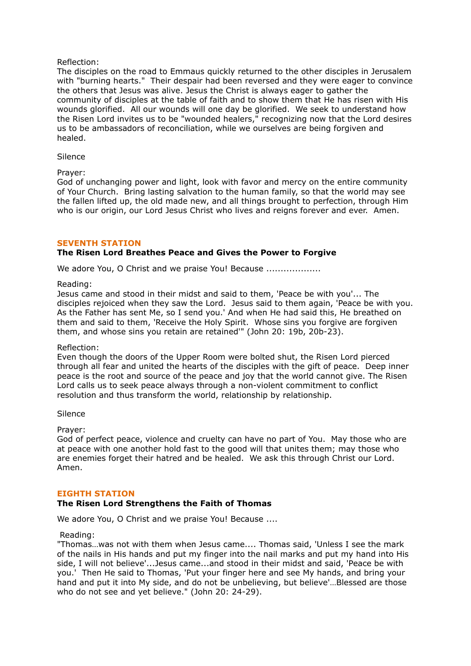### Reflection:

The disciples on the road to Emmaus quickly returned to the other disciples in Jerusalem with "burning hearts." Their despair had been reversed and they were eager to convince the others that Jesus was alive. Jesus the Christ is always eager to gather the community of disciples at the table of faith and to show them that He has risen with His wounds glorified. All our wounds will one day be glorified. We seek to understand how the Risen Lord invites us to be "wounded healers," recognizing now that the Lord desires us to be ambassadors of reconciliation, while we ourselves are being forgiven and healed.

#### Silence

#### Prayer:

God of unchanging power and light, look with favor and mercy on the entire community of Your Church. Bring lasting salvation to the human family, so that the world may see the fallen lifted up, the old made new, and all things brought to perfection, through Him who is our origin, our Lord Jesus Christ who lives and reigns forever and ever. Amen.

#### **SEVENTH STATION**

## **The Risen Lord Breathes Peace and Gives the Power to Forgive**

We adore You, O Christ and we praise You! Because ....................

#### Reading:

Jesus came and stood in their midst and said to them, 'Peace be with you'... The disciples rejoiced when they saw the Lord. Jesus said to them again, 'Peace be with you. As the Father has sent Me, so I send you.' And when He had said this, He breathed on them and said to them, 'Receive the Holy Spirit. Whose sins you forgive are forgiven them, and whose sins you retain are retained'" (John 20: 19b, 20b-23).

#### Reflection:

Even though the doors of the Upper Room were bolted shut, the Risen Lord pierced through all fear and united the hearts of the disciples with the gift of peace. Deep inner peace is the root and source of the peace and joy that the world cannot give. The Risen Lord calls us to seek peace always through a non-violent commitment to conflict resolution and thus transform the world, relationship by relationship.

Silence

#### Prayer:

God of perfect peace, violence and cruelty can have no part of You. May those who are at peace with one another hold fast to the good will that unites them; may those who are enemies forget their hatred and be healed. We ask this through Christ our Lord. Amen.

#### **EIGHTH STATION**

### **The Risen Lord Strengthens the Faith of Thomas**

We adore You, O Christ and we praise You! Because ....

#### Reading:

"Thomas…was not with them when Jesus came.... Thomas said, 'Unless I see the mark of the nails in His hands and put my finger into the nail marks and put my hand into His side, I will not believe'...Jesus came...and stood in their midst and said, 'Peace be with you.' Then He said to Thomas, 'Put your finger here and see My hands, and bring your hand and put it into My side, and do not be unbelieving, but believe'...Blessed are those who do not see and yet believe." (John 20: 24-29).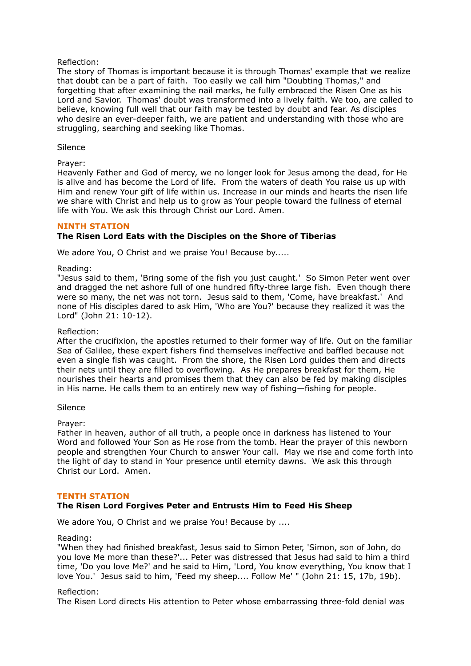### Reflection:

The story of Thomas is important because it is through Thomas' example that we realize that doubt can be a part of faith. Too easily we call him "Doubting Thomas," and forgetting that after examining the nail marks, he fully embraced the Risen One as his Lord and Savior. Thomas' doubt was transformed into a lively faith. We too, are called to believe, knowing full well that our faith may be tested by doubt and fear. As disciples who desire an ever-deeper faith, we are patient and understanding with those who are struggling, searching and seeking like Thomas.

#### Silence

#### Prayer:

Heavenly Father and God of mercy, we no longer look for Jesus among the dead, for He is alive and has become the Lord of life. From the waters of death You raise us up with Him and renew Your gift of life within us. Increase in our minds and hearts the risen life we share with Christ and help us to grow as Your people toward the fullness of eternal life with You. We ask this through Christ our Lord. Amen.

#### **NINTH STATION**

### **The Risen Lord Eats with the Disciples on the Shore of Tiberias**

We adore You, O Christ and we praise You! Because by.....

#### Reading:

"Jesus said to them, 'Bring some of the fish you just caught.' So Simon Peter went over and dragged the net ashore full of one hundred fifty-three large fish. Even though there were so many, the net was not torn. Jesus said to them, 'Come, have breakfast.' And none of His disciples dared to ask Him, 'Who are You?' because they realized it was the Lord" (John 21: 10-12).

#### Reflection:

After the crucifixion, the apostles returned to their former way of life. Out on the familiar Sea of Galilee, these expert fishers find themselves ineffective and baffled because not even a single fish was caught. From the shore, the Risen Lord guides them and directs their nets until they are filled to overflowing. As He prepares breakfast for them, He nourishes their hearts and promises them that they can also be fed by making disciples in His name. He calls them to an entirely new way of fishing—fishing for people.

#### Silence

#### Prayer:

Father in heaven, author of all truth, a people once in darkness has listened to Your Word and followed Your Son as He rose from the tomb. Hear the prayer of this newborn people and strengthen Your Church to answer Your call. May we rise and come forth into the light of day to stand in Your presence until eternity dawns. We ask this through Christ our Lord. Amen.

#### **TENTH STATION**

# **The Risen Lord Forgives Peter and Entrusts Him to Feed His Sheep**

We adore You, O Christ and we praise You! Because by ....

#### Reading:

"When they had finished breakfast, Jesus said to Simon Peter, 'Simon, son of John, do you love Me more than these?'... Peter was distressed that Jesus had said to him a third time, 'Do you love Me?' and he said to Him, 'Lord, You know everything, You know that I love You.' Jesus said to him, 'Feed my sheep.... Follow Me' " (John 21: 15, 17b, 19b).

#### Reflection:

The Risen Lord directs His attention to Peter whose embarrassing three-fold denial was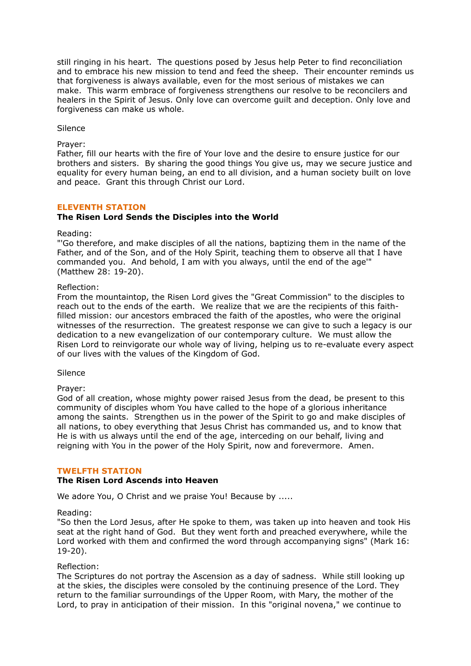still ringing in his heart. The questions posed by Jesus help Peter to find reconciliation and to embrace his new mission to tend and feed the sheep. Their encounter reminds us that forgiveness is always available, even for the most serious of mistakes we can make. This warm embrace of forgiveness strengthens our resolve to be reconcilers and healers in the Spirit of Jesus. Only love can overcome guilt and deception. Only love and forgiveness can make us whole.

Silence

Prayer:

Father, fill our hearts with the fire of Your love and the desire to ensure justice for our brothers and sisters. By sharing the good things You give us, may we secure justice and equality for every human being, an end to all division, and a human society built on love and peace. Grant this through Christ our Lord.

#### **ELEVENTH STATION**

#### **The Risen Lord Sends the Disciples into the World**

Reading:

"'Go therefore, and make disciples of all the nations, baptizing them in the name of the Father, and of the Son, and of the Holy Spirit, teaching them to observe all that I have commanded you. And behold, I am with you always, until the end of the age'" (Matthew 28: 19-20).

#### Reflection:

From the mountaintop, the Risen Lord gives the "Great Commission" to the disciples to reach out to the ends of the earth. We realize that we are the recipients of this faithfilled mission: our ancestors embraced the faith of the apostles, who were the original witnesses of the resurrection. The greatest response we can give to such a legacy is our dedication to a new evangelization of our contemporary culture. We must allow the Risen Lord to reinvigorate our whole way of living, helping us to re-evaluate every aspect of our lives with the values of the Kingdom of God.

Silence

#### Prayer:

God of all creation, whose mighty power raised Jesus from the dead, be present to this community of disciples whom You have called to the hope of a glorious inheritance among the saints. Strengthen us in the power of the Spirit to go and make disciples of all nations, to obey everything that Jesus Christ has commanded us, and to know that He is with us always until the end of the age, interceding on our behalf, living and reigning with You in the power of the Holy Spirit, now and forevermore. Amen.

#### **TWELFTH STATION**

### **The Risen Lord Ascends into Heaven**

We adore You, O Christ and we praise You! Because by .....

#### Reading:

"So then the Lord Jesus, after He spoke to them, was taken up into heaven and took His seat at the right hand of God. But they went forth and preached everywhere, while the Lord worked with them and confirmed the word through accompanying signs" (Mark 16: 19-20).

#### Reflection:

The Scriptures do not portray the Ascension as a day of sadness. While still looking up at the skies, the disciples were consoled by the continuing presence of the Lord. They return to the familiar surroundings of the Upper Room, with Mary, the mother of the Lord, to pray in anticipation of their mission. In this "original novena," we continue to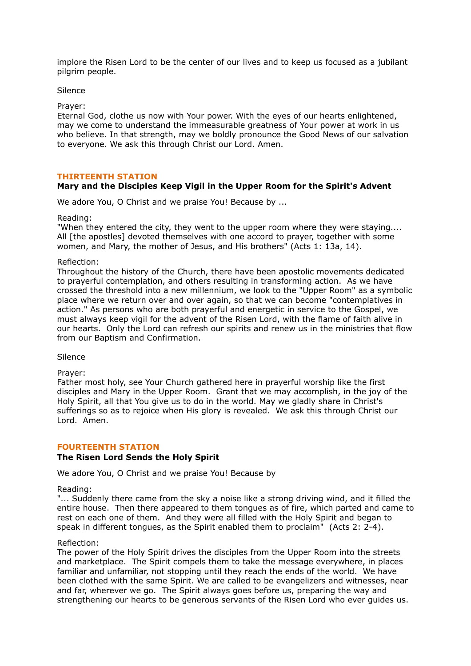implore the Risen Lord to be the center of our lives and to keep us focused as a jubilant pilgrim people.

Silence

Prayer:

Eternal God, clothe us now with Your power. With the eyes of our hearts enlightened, may we come to understand the immeasurable greatness of Your power at work in us who believe. In that strength, may we boldly pronounce the Good News of our salvation to everyone. We ask this through Christ our Lord. Amen.

#### **THIRTEENTH STATION**

### **Mary and the Disciples Keep Vigil in the Upper Room for the Spirit's Advent**

We adore You, O Christ and we praise You! Because by ...

Reading:

"When they entered the city, they went to the upper room where they were staying.... All [the apostles] devoted themselves with one accord to prayer, together with some women, and Mary, the mother of Jesus, and His brothers" (Acts 1: 13a, 14).

#### Reflection:

Throughout the history of the Church, there have been apostolic movements dedicated to prayerful contemplation, and others resulting in transforming action. As we have crossed the threshold into a new millennium, we look to the "Upper Room" as a symbolic place where we return over and over again, so that we can become "contemplatives in action." As persons who are both prayerful and energetic in service to the Gospel, we must always keep vigil for the advent of the Risen Lord, with the flame of faith alive in our hearts. Only the Lord can refresh our spirits and renew us in the ministries that flow from our Baptism and Confirmation.

Silence

Prayer:

Father most holy, see Your Church gathered here in prayerful worship like the first disciples and Mary in the Upper Room. Grant that we may accomplish, in the joy of the Holy Spirit, all that You give us to do in the world. May we gladly share in Christ's sufferings so as to rejoice when His glory is revealed. We ask this through Christ our Lord. Amen.

#### **FOURTEENTH STATION**

### **The Risen Lord Sends the Holy Spirit**

We adore You, O Christ and we praise You! Because by

Reading:

"... Suddenly there came from the sky a noise like a strong driving wind, and it filled the entire house. Then there appeared to them tongues as of fire, which parted and came to rest on each one of them. And they were all filled with the Holy Spirit and began to speak in different tongues, as the Spirit enabled them to proclaim" (Acts 2: 2-4).

#### Reflection:

The power of the Holy Spirit drives the disciples from the Upper Room into the streets and marketplace. The Spirit compels them to take the message everywhere, in places familiar and unfamiliar, not stopping until they reach the ends of the world. We have been clothed with the same Spirit. We are called to be evangelizers and witnesses, near and far, wherever we go. The Spirit always goes before us, preparing the way and strengthening our hearts to be generous servants of the Risen Lord who ever guides us.